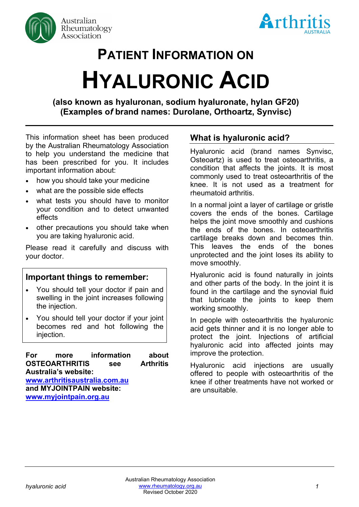



# **PATIENT INFORMATION ON HYALURONIC ACID**

**(also known as hyaluronan, sodium hyaluronate, hylan GF20) (Examples o***f* **brand names: Durolane, Orthoartz, Synvisc)**

This information sheet has been produced by the Australian Rheumatology Association to help you understand the medicine that has been prescribed for you. It includes important information about:

- how you should take your medicine
- what are the possible side effects
- what tests you should have to monitor your condition and to detect unwanted effects
- other precautions you should take when you are taking hyaluronic acid.

Please read it carefully and discuss with your doctor.

# **Important things to remember:**

- You should tell your doctor if pain and swelling in the joint increases following the injection.
- You should tell your doctor if your joint becomes red and hot following the injection.

**For more information about OSTEOARTHRITIS see Arthritis Australia's website: [www.arthritisaustralia.com.au](http://www.arthritisaustralia.com.au/) and MYJOINTPAIN website: [www.myjointpain.org.au](https://www.myjointpain.org.au/)**

# **What is hyaluronic acid?**

Hyaluronic acid (brand names Synvisc, Osteoartz) is used to treat osteoarthritis, a condition that affects the joints. It is most commonly used to treat osteoarthritis of the knee. It is not used as a treatment for rheumatoid arthritis.

In a normal joint a layer of cartilage or gristle covers the ends of the bones. Cartilage helps the joint move smoothly and cushions the ends of the bones. In osteoarthritis cartilage breaks down and becomes thin. This leaves the ends of the bones unprotected and the joint loses its ability to move smoothly.

Hyaluronic acid is found naturally in joints and other parts of the body. In the joint it is found in the cartilage and the synovial fluid that lubricate the joints to keep them working smoothly.

In people with osteoarthritis the hyaluronic acid gets thinner and it is no longer able to protect the joint. Injections of artificial hyaluronic acid into affected joints may improve the protection.

Hyaluronic acid injections are usually offered to people with osteoarthritis of the knee if other treatments have not worked or are unsuitable.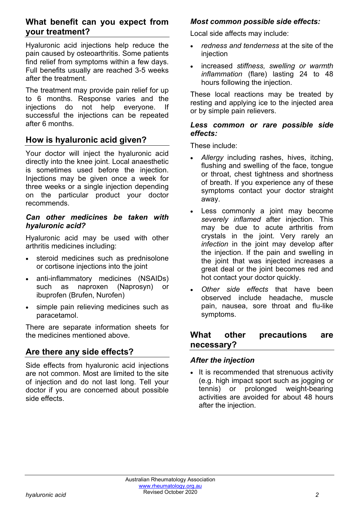# **What benefit can you expect from your treatment?**

Hyaluronic acid injections help reduce the pain caused by osteoarthritis. Some patients find relief from symptoms within a few days. Full benefits usually are reached 3-5 weeks after the treatment.

The treatment may provide pain relief for up to 6 months. Response varies and the injections do not help everyone. If successful the injections can be repeated after 6 months.

# **How is hyaluronic acid given?**

Your doctor will inject the hyaluronic acid directly into the knee joint. Local anaesthetic is sometimes used before the injection. Injections may be given once a week for three weeks or a single injection depending on the particular product your doctor recommends.

#### *Can other medicines be taken with hyaluronic acid?*

Hyaluronic acid may be used with other arthritis medicines including:

- steroid medicines such as prednisolone or cortisone injections into the joint
- anti-inflammatory medicines (NSAIDs) such as naproxen (Naprosyn) or ibuprofen (Brufen, Nurofen)
- simple pain relieving medicines such as paracetamol.

There are separate information sheets for the medicines mentioned above.

# **Are there any side effects?**

Side effects from hyaluronic acid injections are not common. Most are limited to the site of injection and do not last long. Tell your doctor if you are concerned about possible side effects.

## *Most common possible side effects:*

Local side affects may include:

- *redness and tenderness* at the site of the injection
- increased *stiffness, swelling or warmth inflammation* (flare) lasting 24 to 48 hours following the injection.

These local reactions may be treated by resting and applying ice to the injected area or by simple pain relievers.

#### *Less common or rare possible side effects:*

These include:

- *Allergy* including rashes, hives, itching, flushing and swelling of the face, tongue or throat, chest tightness and shortness of breath. If you experience any of these symptoms contact your doctor straight away.
- Less commonly a joint may become *severely inflamed* after injection. This may be due to acute arthritis from crystals in the joint. Very rarely an *infection* in the joint may develop after the injection. If the pain and swelling in the joint that was injected increases a great deal or the joint becomes red and hot contact your doctor quickly.
- *Other side effects* that have been observed include headache, muscle pain, nausea, sore throat and flu-like symptoms.

## **What other precautions are necessary?**

## *After the injection*

• It is recommended that strenuous activity (e.g. high impact sport such as jogging or tennis) or prolonged weight-bearing activities are avoided for about 48 hours after the injection.